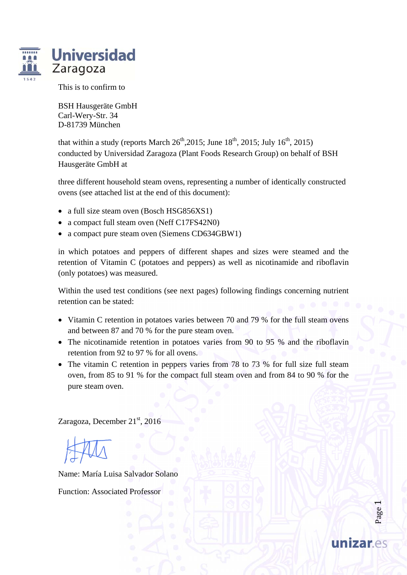

This is to confirm to

BSH Hausgeräte GmbH Carl-Wery-Str. 34 D-81739 München

that within a study (reports March  $26<sup>th</sup>$ , 2015; June 18<sup>th</sup>, 2015; July 16<sup>th</sup>, 2015) conducted by Universidad Zaragoza (Plant Foods Research Group) on behalf of BSH Hausgeräte GmbH at

three different household steam ovens, representing a number of identically constructed ovens (see attached list at the end of this document):

- a full size steam oven (Bosch HSG856XS1)
- a compact full steam oven (Neff C17FS42N0)
- a compact pure steam oven (Siemens CD634GBW1)

in which potatoes and peppers of different shapes and sizes were steamed and the retention of Vitamin C (potatoes and peppers) as well as nicotinamide and riboflavin (only potatoes) was measured.

Within the used test conditions (see next pages) following findings concerning nutrient retention can be stated:

- Vitamin C retention in potatoes varies between 70 and 79 % for the full steam ovens and between 87 and 70 % for the pure steam oven.
- The nicotinamide retention in potatoes varies from 90 to 95 % and the riboflavin retention from 92 to 97 % for all ovens.
- The vitamin C retention in peppers varies from 78 to 73 % for full size full steam oven, from 85 to 91 % for the compact full steam oven and from 84 to 90 % for the pure steam oven.

Zaragoza, December 21<sup>st</sup>, 2016

Name: María Luisa Salvador Solano

Function: Associated Professor

Page  $\overline{\phantom{0}}$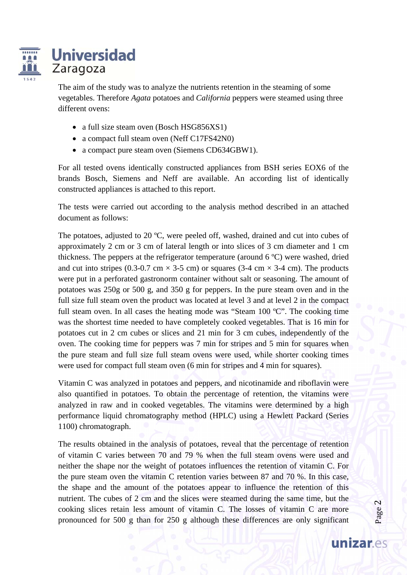

# **Universidad** Zaragoza

The aim of the study was to analyze the nutrients retention in the steaming of some vegetables. Therefore *Agata* potatoes and *California* peppers were steamed using three different ovens:

- a full size steam oven (Bosch HSG856XS1)
- a compact full steam oven (Neff C17FS42N0)
- a compact pure steam oven (Siemens CD634GBW1).

For all tested ovens identically constructed appliances from BSH series EOX6 of the brands Bosch, Siemens and Neff are available. An according list of identically constructed appliances is attached to this report.

The tests were carried out according to the analysis method described in an attached document as follows:

The potatoes, adjusted to 20 ºC, were peeled off, washed, drained and cut into cubes of approximately 2 cm or 3 cm of lateral length or into slices of 3 cm diameter and 1 cm thickness. The peppers at the refrigerator temperature (around 6 ºC) were washed, dried and cut into stripes (0.3-0.7 cm  $\times$  3-5 cm) or squares (3-4 cm  $\times$  3-4 cm). The products were put in a perforated gastronorm container without salt or seasoning. The amount of potatoes was 250g or 500 g, and 350 g for peppers. In the pure steam oven and in the full size full steam oven the product was located at level 3 and at level 2 in the compact full steam oven. In all cases the heating mode was "Steam  $100 \degree C$ ". The cooking time was the shortest time needed to have completely cooked vegetables. That is 16 min for potatoes cut in 2 cm cubes or slices and 21 min for 3 cm cubes, independently of the oven. The cooking time for peppers was 7 min for stripes and 5 min for squares when the pure steam and full size full steam ovens were used, while shorter cooking times were used for compact full steam oven (6 min for stripes and 4 min for squares).

Vitamin C was analyzed in potatoes and peppers, and nicotinamide and riboflavin were also quantified in potatoes. To obtain the percentage of retention, the vitamins were analyzed in raw and in cooked vegetables. The vitamins were determined by a high performance liquid chromatography method (HPLC) using a Hewlett Packard (Series 1100) chromatograph.

The results obtained in the analysis of potatoes, reveal that the percentage of retention of vitamin C varies between 70 and 79 % when the full steam ovens were used and neither the shape nor the weight of potatoes influences the retention of vitamin C. For the pure steam oven the vitamin C retention varies between 87 and 70 %. In this case, the shape and the amount of the potatoes appear to influence the retention of this nutrient. The cubes of 2 cm and the slices were steamed during the same time, but the cooking slices retain less amount of vitamin C. The losses of vitamin C are more pronounced for 500 g than for 250 g although these differences are only significant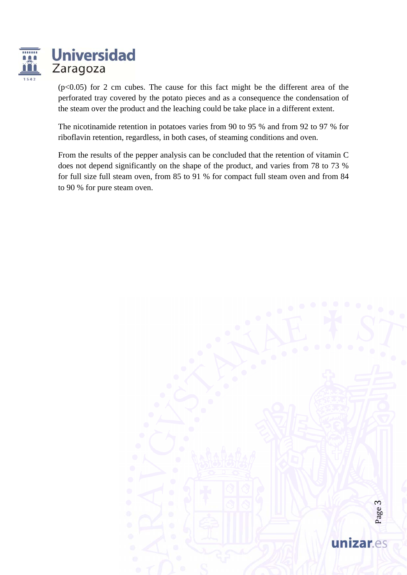

 $(p<0.05)$  for 2 cm cubes. The cause for this fact might be the different area of the perforated tray covered by the potato pieces and as a consequence the condensation of the steam over the product and the leaching could be take place in a different extent.

The nicotinamide retention in potatoes varies from 90 to 95 % and from 92 to 97 % for riboflavin retention, regardless, in both cases, of steaming conditions and oven.

From the results of the pepper analysis can be concluded that the retention of vitamin C does not depend significantly on the shape of the product, and varies from 78 to 73 % for full size full steam oven, from 85 to 91 % for compact full steam oven and from 84 to 90 % for pure steam oven.

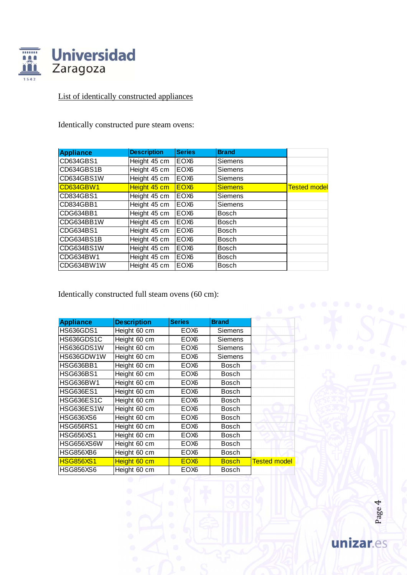

## List of identically constructed appliances

Identically constructed pure steam ovens:

| <b>Appliance</b> | <b>Description</b> | <b>Series</b>    | <b>Brand</b>   |                     |
|------------------|--------------------|------------------|----------------|---------------------|
| CD634GBS1        | Height 45 cm       | EOX <sub>6</sub> | <b>Siemens</b> |                     |
| CD634GBS1B       | Height 45 cm       | EOX <sub>6</sub> | <b>Siemens</b> |                     |
| CD634GBS1W       | Height 45 cm       | EOX <sub>6</sub> | <b>Siemens</b> |                     |
| <b>CD634GBW1</b> | Height 45 cm       | EOX <sub>6</sub> | <b>Siemens</b> | <b>Tested model</b> |
| CD834GBS1        | Height 45 cm       | EOX <sub>6</sub> | <b>Siemens</b> |                     |
| CD834GBB1        | Height 45 cm       | EOX <sub>6</sub> | <b>Siemens</b> |                     |
| CDG634BB1        | Height 45 cm       | EOX <sub>6</sub> | <b>Bosch</b>   |                     |
| CDG634BB1W       | Height 45 cm       | EOX <sub>6</sub> | <b>Bosch</b>   |                     |
| CDG634BS1        | Height 45 cm       | EOX <sub>6</sub> | <b>Bosch</b>   |                     |
| CDG634BS1B       | Height 45 cm       | EOX <sub>6</sub> | <b>Bosch</b>   |                     |
| CDG634BS1W       | Height 45 cm       | EOX <sub>6</sub> | <b>Bosch</b>   |                     |
| CDG634BW1        | Height 45 cm       | EOX <sub>6</sub> | <b>Bosch</b>   |                     |
| CDG634BW1W       | Height 45 cm       | EOX <sub>6</sub> | <b>Bosch</b>   |                     |

Identically constructed full steam ovens (60 cm):

|                   |                    | <b>Series</b>    | <b>Brand</b>   |                     |
|-------------------|--------------------|------------------|----------------|---------------------|
| <b>Appliance</b>  | <b>Description</b> |                  |                |                     |
| <b>HS636GDS1</b>  | Height 60 cm       | EOX6             | Siemens        |                     |
| HS636GDS1C        | Height 60 cm       | EOX6             | <b>Siemens</b> |                     |
| HS636GDS1W        | Height 60 cm       | EOX <sub>6</sub> | Siemens        |                     |
| HS636GDW1W        | Height 60 cm       | EOX <sub>6</sub> | Siemens        | o                   |
| <b>HSG636BB1</b>  | Height 60 cm       | EOX <sub>6</sub> | <b>Bosch</b>   |                     |
| <b>HSG636BS1</b>  | Height 60 cm       | EOX <sub>6</sub> | <b>Bosch</b>   |                     |
| <b>HSG636BW1</b>  | Height 60 cm       | EOX <sub>6</sub> | <b>Bosch</b>   |                     |
| <b>HSG636ES1</b>  | Height 60 cm       | EOX <sub>6</sub> | <b>Bosch</b>   |                     |
| <b>HSG636ES1C</b> | Height 60 cm       | EOX <sub>6</sub> | <b>Bosch</b>   |                     |
| <b>HSG636ES1W</b> | Height 60 cm       | EOX <sub>6</sub> | <b>Bosch</b>   |                     |
| <b>HSG636XS6</b>  | Height 60 cm       | EOX <sub>6</sub> | <b>Bosch</b>   |                     |
| <b>HSG656RS1</b>  | Height 60 cm       | EOX <sub>6</sub> | <b>Bosch</b>   |                     |
| <b>HSG656XS1</b>  | Height 60 cm       | EOX <sub>6</sub> | <b>Bosch</b>   |                     |
| HSG656XS6W        | Height 60 cm       | EOX <sub>6</sub> | <b>Bosch</b>   |                     |
| <b>HSG856XB6</b>  | Height 60 cm       | EOX <sub>6</sub> | <b>Bosch</b>   |                     |
| <b>HSG856XS1</b>  | Height 60 cm       | EOX <sub>6</sub> | <b>Bosch</b>   | <b>Tested model</b> |
| <b>HSG856XS6</b>  | Height 60 cm       | EOX <sub>6</sub> | <b>Bosch</b>   |                     |

Page 4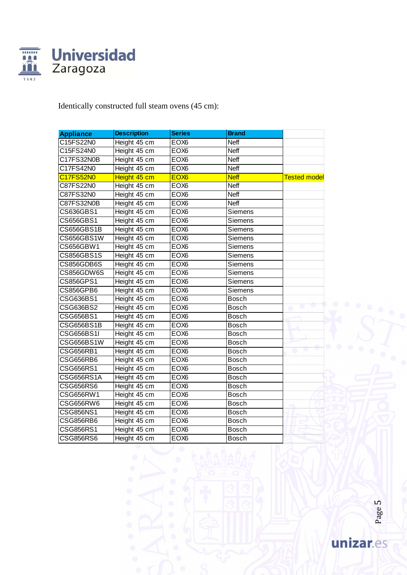

### Identically constructed full steam ovens (45 cm):

| <b>Appliance</b>  | <b>Description</b> | <b>Series</b>    | <b>Brand</b> |                          |
|-------------------|--------------------|------------------|--------------|--------------------------|
| C15FS22N0         | Height 45 cm       | EOX <sub>6</sub> | <b>Neff</b>  |                          |
| C15FS24N0         | Height 45 cm       | EOX <sub>6</sub> | <b>Neff</b>  |                          |
| C17FS32N0B        | Height 45 cm       | EOX <sub>6</sub> | Neff         |                          |
| C17FS42N0         | Height 45 cm       | EOX <sub>6</sub> | Neff         |                          |
| C17FS52N0         | Height 45 cm       | EOX <sub>6</sub> | <b>Neff</b>  | <b>Tested model</b>      |
| C87FS22N0         | Height 45 cm       | EOX <sub>6</sub> | <b>Neff</b>  |                          |
| C87FS32N0         | Height 45 cm       | EOX <sub>6</sub> | <b>Neff</b>  |                          |
| C87FS32N0B        | Height 45 cm       | EOX <sub>6</sub> | <b>Neff</b>  |                          |
| CS636GBS1         | Height 45 cm       | EOX <sub>6</sub> | Siemens      |                          |
| CS656GBS1         | Height 45 cm       | EOX <sub>6</sub> | Siemens      |                          |
| CS656GBS1B        | Height 45 cm       | EOX <sub>6</sub> | Siemens      |                          |
| CS656GBS1W        | Height 45 cm       | EOX <sub>6</sub> | Siemens      |                          |
| CS656GBW1         | Height 45 cm       | EOX <sub>6</sub> | Siemens      |                          |
| CS856GBS1S        | Height 45 cm       | EOX <sub>6</sub> | Siemens      |                          |
| CS856GDB6S        | Height 45 cm       | EOX <sub>6</sub> | Siemens      |                          |
| CS856GDW6S        | Height 45 cm       | EOX <sub>6</sub> | Siemens      |                          |
| CS856GPS1         | Height 45 cm       | EOX <sub>6</sub> | Siemens      |                          |
| CS856GPB6         | Height 45 cm       | EOX <sub>6</sub> | Siemens      |                          |
| CSG636BS1         | Height 45 cm       | EOX <sub>6</sub> | <b>Bosch</b> |                          |
| CSG636BS2         | Height 45 cm       | EOX <sub>6</sub> | <b>Bosch</b> | w                        |
| CSG656BS1         | Height 45 cm       | EOX <sub>6</sub> | <b>Bosch</b> |                          |
| CSG656BS1B        | Height 45 cm       | EOX <sub>6</sub> | <b>Bosch</b> |                          |
| <b>CSG656BS1I</b> | Height 45 cm       | EOX <sub>6</sub> | <b>Bosch</b> |                          |
| CSG656BS1W        | Height 45 cm       | EOX <sub>6</sub> | <b>Bosch</b> |                          |
| CSG656RB1         | Height 45 cm       | EOX <sub>6</sub> | <b>Bosch</b> | $\overline{\phantom{a}}$ |
| CSG656RB6         | Height 45 cm       | EOX <sub>6</sub> | <b>Bosch</b> |                          |
| CSG656RS1         | Height 45 cm       | EOX <sub>6</sub> | <b>Bosch</b> |                          |
| CSG656RS1A        | Height 45 cm       | EOX <sub>6</sub> | <b>Bosch</b> |                          |
| CSG656RS6         | Height 45 cm       | EOX <sub>6</sub> | <b>Bosch</b> |                          |
| <b>CSG656RW1</b>  | Height 45 cm       | EOX <sub>6</sub> | <b>Bosch</b> |                          |
| CSG656RW6         | Height 45 cm       | EOX <sub>6</sub> | <b>Bosch</b> |                          |
| CSG856NS1         | Height 45 cm       | EOX <sub>6</sub> | <b>Bosch</b> |                          |
| CSG856RB6         | Height 45 cm       | EOX <sub>6</sub> | <b>Bosch</b> |                          |
| CSG856RS1         | Height 45 cm       | EOX <sub>6</sub> | <b>Bosch</b> |                          |
| CSG856RS6         | Height 45 cm       | EOX <sub>6</sub> | <b>Bosch</b> |                          |

Page 5 unizar.es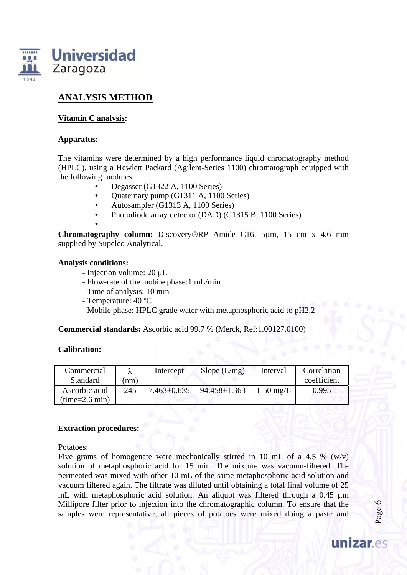

### **ANALYSIS METHOD**

**Vitamin C analysis:** 

#### **Apparatus:**

The vitamins were determined by a high performance liquid chromatography method (HPLC), using a Hewlett Packard (Agilent-Series 1100) chromatograph equipped with the following modules:

- Degasser (G1322 A, 1100 Series)
- Quaternary pump (G1311 A, 1100 Series)
- Autosampler (G1313 A, 1100 Series)
- Photodiode array detector (DAD) (G1315 B, 1100 Series)
- **Chromatography column:** Discovery®RP Amide C16, 5µm, 15 cm x 4.6 mm supplied by Supelco Analytical.

#### **Analysis conditions:**

- Injection volume: 20 µL
- Flow-rate of the mobile phase:1 mL/min
- Time of analysis: 10 min
- Temperature: 40 ºC
- Mobile phase: HPLC grade water with metaphosphoric acid to pH2.2

**Commercial standards:** Ascorbic acid 99.7 % (Merck, Ref:1.00127.0100)

#### **Calibration:**

| Commercial<br>Standard            | (nm) | Intercept         | Slope $(L/mg)$     | Interval    | Correlation<br>coefficient |
|-----------------------------------|------|-------------------|--------------------|-------------|----------------------------|
| Ascorbic acid<br>$(time=2.6 min)$ | 245  | $7.463 \pm 0.635$ | $94.458 \pm 1.363$ | $1-50$ mg/L | 0.995                      |

#### **Extraction procedures:**

Potatoes:

Five grams of homogenate were mechanically stirred in 10 mL of a 4.5 % (w/v) solution of metaphosphoric acid for 15 min. The mixture was vacuum-filtered. The permeated was mixed with other 10 mL of the same metaphosphoric acid solution and vacuum filtered again. The filtrate was diluted until obtaining a total final volume of 25 mL with metaphosphoric acid solution. An aliquot was filtered through a  $0.45 \mu m$ Millipore filter prior to injection into the chromatographic column. To ensure that the samples were representative, all pieces of potatoes were mixed doing a paste and

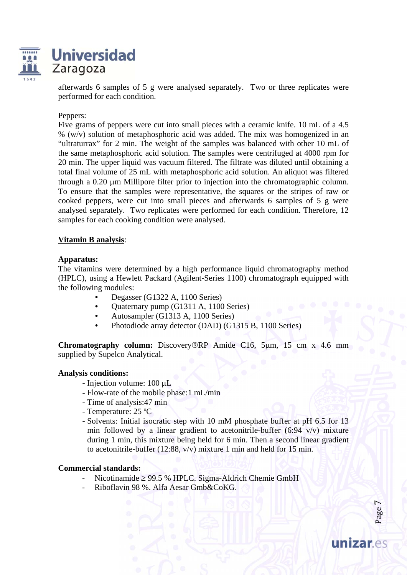



afterwards 6 samples of 5 g were analysed separately. Two or three replicates were performed for each condition.

#### Peppers:

Five grams of peppers were cut into small pieces with a ceramic knife. 10 mL of a 4.5 %  $(w/v)$  solution of metaphosphoric acid was added. The mix was homogenized in an "ultraturrax" for 2 min. The weight of the samples was balanced with other 10 mL of the same metaphosphoric acid solution. The samples were centrifuged at 4000 rpm for 20 min. The upper liquid was vacuum filtered. The filtrate was diluted until obtaining a total final volume of 25 mL with metaphosphoric acid solution. An aliquot was filtered through a 0.20 µm Millipore filter prior to injection into the chromatographic column. To ensure that the samples were representative, the squares or the stripes of raw or cooked peppers, were cut into small pieces and afterwards 6 samples of 5 g were analysed separately. Two replicates were performed for each condition. Therefore, 12 samples for each cooking condition were analysed.

#### **Vitamin B analysis**:

#### **Apparatus:**

The vitamins were determined by a high performance liquid chromatography method (HPLC), using a Hewlett Packard (Agilent-Series 1100) chromatograph equipped with the following modules:

- Degasser (G1322 A, 1100 Series)
- Quaternary pump (G1311 A, 1100 Series)
- Autosampler (G1313 A, 1100 Series)
- Photodiode array detector (DAD) (G1315 B, 1100 Series)

**Chromatography column:** Discovery®RP Amide C16, 5µm, 15 cm x 4.6 mm supplied by Supelco Analytical.

#### **Analysis conditions:**

- $-$  Injection volume: 100  $\mu$ L
- Flow-rate of the mobile phase:1 mL/min
- Time of analysis:47 min
- Temperature: 25 ºC
- Solvents: Initial isocratic step with 10 mM phosphate buffer at pH 6.5 for 13 min followed by a linear gradient to acetonitrile-buffer (6:94  $v/v$ ) mixture during 1 min, this mixture being held for 6 min. Then a second linear gradient to acetonitrile-buffer (12:88, v/v) mixture 1 min and held for 15 min.

#### **Commercial standards:**

- Nicotinamide  $\geq 99.5$  % HPLC. Sigma-Aldrich Chemie GmbH
- Riboflavin 98 %. Alfa Aesar Gmb&CoKG.

Page  $\overline{\phantom{0}}$